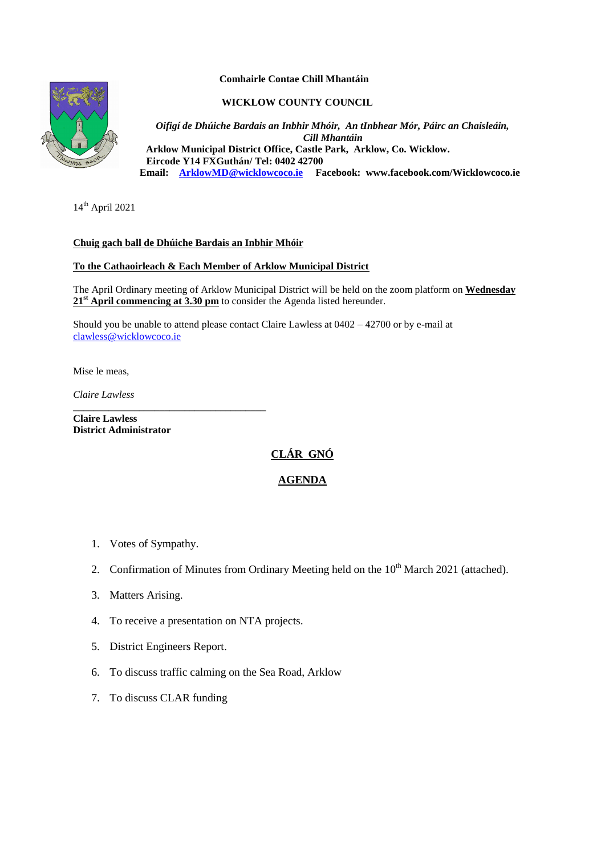#### **Comhairle Contae Chill Mhantáin**

**WICKLOW COUNTY COUNCIL**

*Oifigí de Dhúiche Bardais an Inbhir Mhóir, An tInbhear Mór, Páirc an Chaisleáin, Cill Mhantáin*  **Arklow Municipal District Office, Castle Park, Arklow, Co. Wicklow. Eircode Y14 FXGuthán/ Tel: 0402 42700 Email: [ArklowMD@wicklowcoco.ie](mailto:ArklowMD@wicklowcoco.ie) Facebook: www.facebook.com/Wicklowcoco.ie**

 $14<sup>th</sup>$  April 2021

## **Chuig gach ball de Dhúiche Bardais an Inbhir Mhóir**

## **To the Cathaoirleach & Each Member of Arklow Municipal District**

The April Ordinary meeting of Arklow Municipal District will be held on the zoom platform on **Wednesday**  21<sup>st</sup> **April commencing at 3.30 pm** to consider the Agenda listed hereunder.

Should you be unable to attend please contact Claire Lawless at 0402 – 42700 or by e-mail at [clawless@wicklowcoco.ie](mailto:clawless@wicklowcoco.ie)

Mise le meas,

*Claire Lawless*

**Claire Lawless District Administrator** 

\_\_\_\_\_\_\_\_\_\_\_\_\_\_\_\_\_\_\_\_\_\_\_\_\_\_\_\_\_\_\_\_\_\_\_\_\_\_

# **CLÁR GNÓ**

# **AGENDA**

- 1. Votes of Sympathy.
- 2. Confirmation of Minutes from Ordinary Meeting held on the  $10<sup>th</sup>$  March 2021 (attached).
- 3. Matters Arising.
- 4. To receive a presentation on NTA projects.
- 5. District Engineers Report.
- 6. To discuss traffic calming on the Sea Road, Arklow
- 7. To discuss CLAR funding